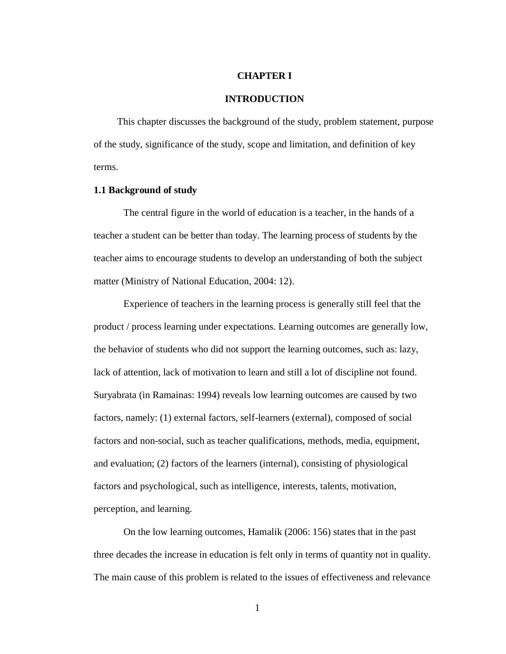#### **CHAPTER I**

#### **INTRODUCTION**

This chapter discusses the background of the study, problem statement, purpose of the study, significance of the study, scope and limitation, and definition of key terms.

### **1.1 Background of study**

The central figure in the world of education is a teacher, in the hands of a teacher a student can be better than today. The learning process of students by the teacher aims to encourage students to develop an understanding of both the subject matter (Ministry of National Education, 2004: 12).

Experience of teachers in the learning process is generally still feel that the product / process learning under expectations. Learning outcomes are generally low, the behavior of students who did not support the learning outcomes, such as: lazy, lack of attention, lack of motivation to learn and still a lot of discipline not found. Suryabrata (in Ramainas: 1994) reveals low learning outcomes are caused by two factors, namely: (1) external factors, self-learners (external), composed of social factors and non-social, such as teacher qualifications, methods, media, equipment, and evaluation; (2) factors of the learners (internal), consisting of physiological factors and psychological, such as intelligence, interests, talents, motivation, perception, and learning.

On the low learning outcomes, Hamalik (2006: 156) states that in the past three decades the increase in education is felt only in terms of quantity not in quality. The main cause of this problem is related to the issues of effectiveness and relevance

1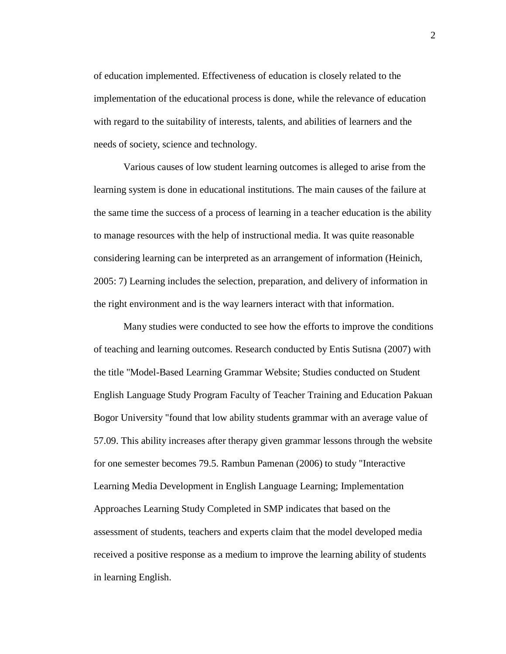of education implemented. Effectiveness of education is closely related to the implementation of the educational process is done, while the relevance of education with regard to the suitability of interests, talents, and abilities of learners and the needs of society, science and technology.

Various causes of low student learning outcomes is alleged to arise from the learning system is done in educational institutions. The main causes of the failure at the same time the success of a process of learning in a teacher education is the ability to manage resources with the help of instructional media. It was quite reasonable considering learning can be interpreted as an arrangement of information (Heinich, 2005: 7) Learning includes the selection, preparation, and delivery of information in the right environment and is the way learners interact with that information.

Many studies were conducted to see how the efforts to improve the conditions of teaching and learning outcomes. Research conducted by Entis Sutisna (2007) with the title "Model-Based Learning Grammar Website; Studies conducted on Student English Language Study Program Faculty of Teacher Training and Education Pakuan Bogor University "found that low ability students grammar with an average value of 57.09. This ability increases after therapy given grammar lessons through the website for one semester becomes 79.5. Rambun Pamenan (2006) to study "Interactive Learning Media Development in English Language Learning; Implementation Approaches Learning Study Completed in SMP indicates that based on the assessment of students, teachers and experts claim that the model developed media received a positive response as a medium to improve the learning ability of students in learning English.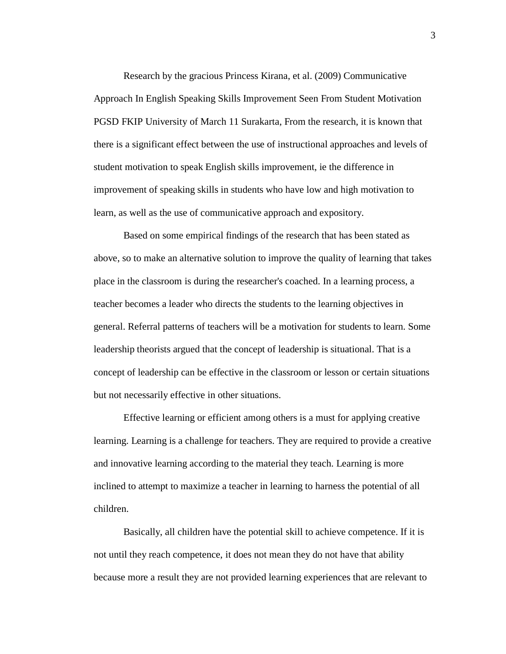Research by the gracious Princess Kirana, et al. (2009) Communicative Approach In English Speaking Skills Improvement Seen From Student Motivation PGSD FKIP University of March 11 Surakarta, From the research, it is known that there is a significant effect between the use of instructional approaches and levels of student motivation to speak English skills improvement, ie the difference in improvement of speaking skills in students who have low and high motivation to learn, as well as the use of communicative approach and expository.

Based on some empirical findings of the research that has been stated as above, so to make an alternative solution to improve the quality of learning that takes place in the classroom is during the researcher's coached. In a learning process, a teacher becomes a leader who directs the students to the learning objectives in general. Referral patterns of teachers will be a motivation for students to learn. Some leadership theorists argued that the concept of leadership is situational. That is a concept of leadership can be effective in the classroom or lesson or certain situations but not necessarily effective in other situations.

Effective learning or efficient among others is a must for applying creative learning. Learning is a challenge for teachers. They are required to provide a creative and innovative learning according to the material they teach. Learning is more inclined to attempt to maximize a teacher in learning to harness the potential of all children.

Basically, all children have the potential skill to achieve competence. If it is not until they reach competence, it does not mean they do not have that ability because more a result they are not provided learning experiences that are relevant to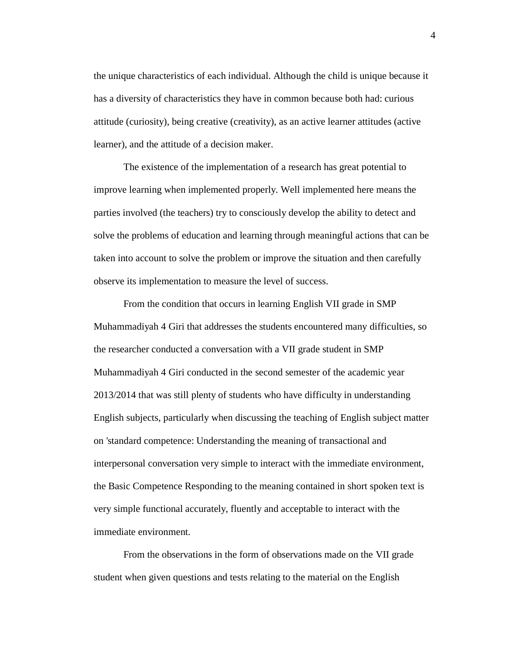the unique characteristics of each individual. Although the child is unique because it has a diversity of characteristics they have in common because both had: curious attitude (curiosity), being creative (creativity), as an active learner attitudes (active learner), and the attitude of a decision maker.

The existence of the implementation of a research has great potential to improve learning when implemented properly. Well implemented here means the parties involved (the teachers) try to consciously develop the ability to detect and solve the problems of education and learning through meaningful actions that can be taken into account to solve the problem or improve the situation and then carefully observe its implementation to measure the level of success.

From the condition that occurs in learning English VII grade in SMP Muhammadiyah 4 Giri that addresses the students encountered many difficulties, so the researcher conducted a conversation with a VII grade student in SMP Muhammadiyah 4 Giri conducted in the second semester of the academic year 2013/2014 that was still plenty of students who have difficulty in understanding English subjects, particularly when discussing the teaching of English subject matter on 'standard competence: Understanding the meaning of transactional and interpersonal conversation very simple to interact with the immediate environment, the Basic Competence Responding to the meaning contained in short spoken text is very simple functional accurately, fluently and acceptable to interact with the immediate environment.

From the observations in the form of observations made on the VII grade student when given questions and tests relating to the material on the English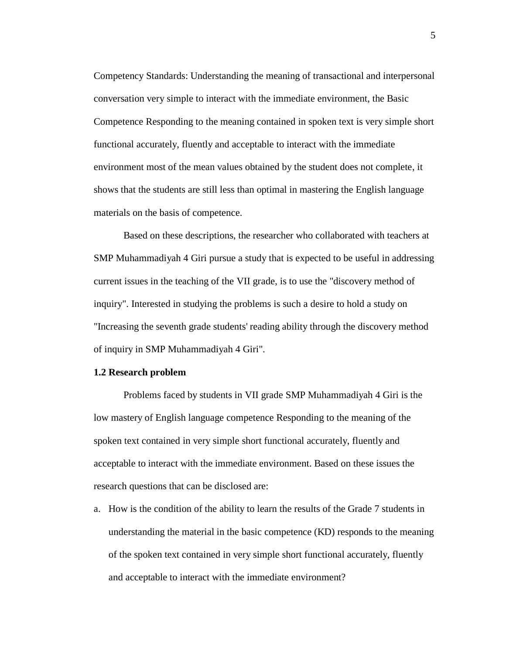Competency Standards: Understanding the meaning of transactional and interpersonal conversation very simple to interact with the immediate environment, the Basic Competence Responding to the meaning contained in spoken text is very simple short functional accurately, fluently and acceptable to interact with the immediate environment most of the mean values obtained by the student does not complete, it shows that the students are still less than optimal in mastering the English language materials on the basis of competence.

Based on these descriptions, the researcher who collaborated with teachers at SMP Muhammadiyah 4 Giri pursue a study that is expected to be useful in addressing current issues in the teaching of the VII grade, is to use the "discovery method of inquiry". Interested in studying the problems is such a desire to hold a study on "Increasing the seventh grade students' reading ability through the discovery method of inquiry in SMP Muhammadiyah 4 Giri".

# **1.2 Research problem**

Problems faced by students in VII grade SMP Muhammadiyah 4 Giri is the low mastery of English language competence Responding to the meaning of the spoken text contained in very simple short functional accurately, fluently and acceptable to interact with the immediate environment. Based on these issues the research questions that can be disclosed are:

a. How is the condition of the ability to learn the results of the Grade 7 students in understanding the material in the basic competence (KD) responds to the meaning of the spoken text contained in very simple short functional accurately, fluently and acceptable to interact with the immediate environment?